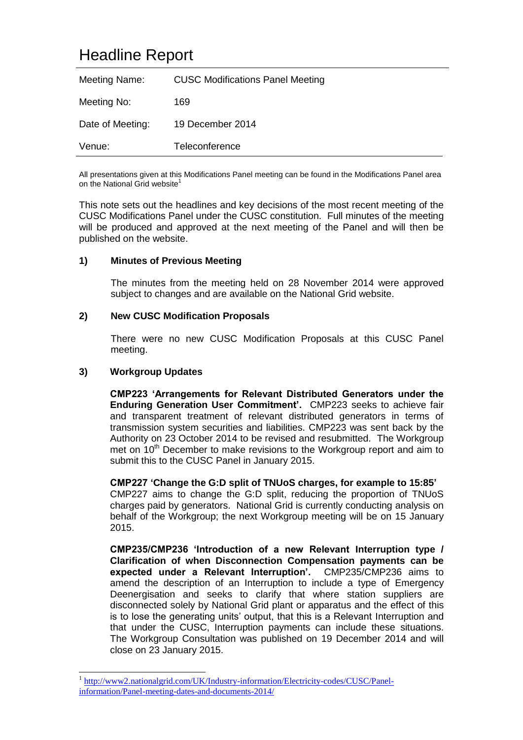# Headline Report

| Meeting Name:    | <b>CUSC Modifications Panel Meeting</b> |
|------------------|-----------------------------------------|
| Meeting No:      | 169                                     |
| Date of Meeting: | 19 December 2014                        |
| Venue:           | Teleconference                          |

All presentations given at this Modifications Panel meeting can be found in the Modifications Panel area on the National Grid website<sup>1</sup>

This note sets out the headlines and key decisions of the most recent meeting of the CUSC Modifications Panel under the CUSC constitution. Full minutes of the meeting will be produced and approved at the next meeting of the Panel and will then be published on the website.

# **1) Minutes of Previous Meeting**

The minutes from the meeting held on 28 November 2014 were approved subject to changes and are available on the National Grid website.

# **2) New CUSC Modification Proposals**

There were no new CUSC Modification Proposals at this CUSC Panel meeting.

#### **3) Workgroup Updates**

-

**CMP223 'Arrangements for Relevant Distributed Generators under the Enduring Generation User Commitment'.** CMP223 seeks to achieve fair and transparent treatment of relevant distributed generators in terms of transmission system securities and liabilities. CMP223 was sent back by the Authority on 23 October 2014 to be revised and resubmitted. The Workgroup met on  $10<sup>th</sup>$  December to make revisions to the Workgroup report and aim to submit this to the CUSC Panel in January 2015.

**CMP227 'Change the G:D split of TNUoS charges, for example to 15:85'** CMP227 aims to change the G:D split, reducing the proportion of TNUoS charges paid by generators. National Grid is currently conducting analysis on behalf of the Workgroup; the next Workgroup meeting will be on 15 January 2015.

**CMP235/CMP236 'Introduction of a new Relevant Interruption type / Clarification of when Disconnection Compensation payments can be expected under a Relevant Interruption'.** CMP235/CMP236 aims to amend the description of an Interruption to include a type of Emergency Deenergisation and seeks to clarify that where station suppliers are disconnected solely by National Grid plant or apparatus and the effect of this is to lose the generating units' output, that this is a Relevant Interruption and that under the CUSC, Interruption payments can include these situations. The Workgroup Consultation was published on 19 December 2014 and will close on 23 January 2015.

<sup>1</sup> [http://www2.nationalgrid.com/UK/Industry-information/Electricity-codes/CUSC/Panel](http://www2.nationalgrid.com/UK/Industry-information/Electricity-codes/CUSC/Panel-information/Panel-meeting-dates-and-documents-2014/)[information/Panel-meeting-dates-and-documents-2014/](http://www2.nationalgrid.com/UK/Industry-information/Electricity-codes/CUSC/Panel-information/Panel-meeting-dates-and-documents-2014/)